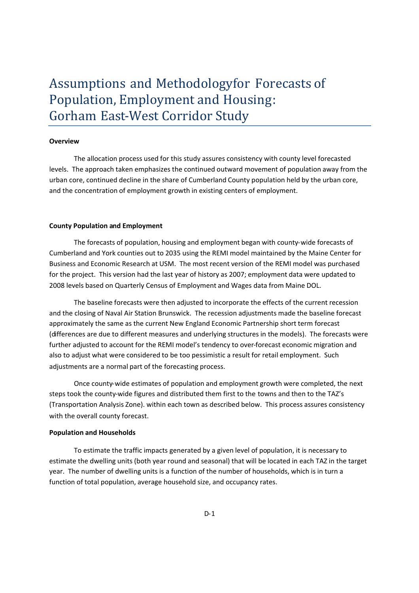# Assumptions and Methodologyfor Forecasts of Population, Employment and Housing: Gorham East-West Corridor Study

#### **Overview**

The allocation process used for this study assures consistency with county level forecasted levels. The approach taken emphasizes the continued outward movement of population away from the urban core, continued decline in the share of Cumberland County population held by the urban core, and the concentration of employment growth in existing centers of employment.

#### **County Population and Employment**

The forecasts of population, housing and employment began with county-wide forecasts of Cumberland and York counties out to 2035 using the REMI model maintained by the Maine Center for Business and Economic Research at USM. The most recent version of the REMI model was purchased for the project. This version had the last year of history as 2007; employment data were updated to 2008 levels based on Quarterly Census of Employment and Wages data from Maine DOL.

The baseline forecasts were then adjusted to incorporate the effects of the current recession and the closing of Naval Air Station Brunswick. The recession adjustments made the baseline forecast approximately the same as the current New England Economic Partnership short term forecast (differences are due to different measures and underlying structures in the models). The forecasts were further adjusted to account for the REMI model's tendency to over-forecast economic migration and also to adjust what were considered to be too pessimistic a result for retail employment. Such adjustments are a normal part of the forecasting process.

Once county-wide estimates of population and employment growth were completed, the next steps took the county-wide figures and distributed them first to the towns and then to the TAZ's (Transportation Analysis Zone). within each town as described below. This process assures consistency with the overall county forecast.

#### **Population and Households**

To estimate the traffic impacts generated by a given level of population, it is necessary to estimate the dwelling units (both year round and seasonal) that will be located in each TAZ in the target year. The number of dwelling units is a function of the number of households, which is in turn a function of total population, average household size, and occupancy rates.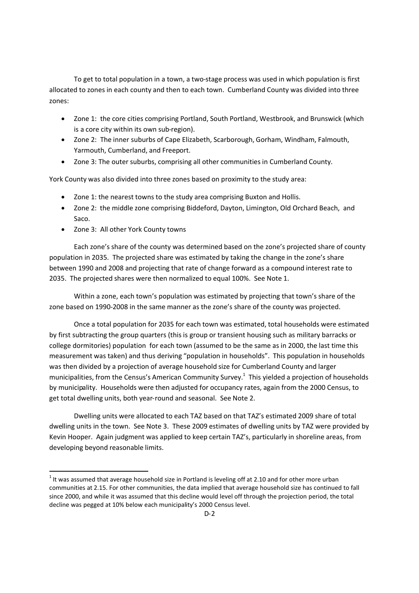To get to total population in a town, a two-stage process was used in which population is first allocated to zones in each county and then to each town. Cumberland County was divided into three zones:

- Zone 1: the core cities comprising Portland, South Portland, Westbrook, and Brunswick (which is a core city within its own sub-region).
- Zone 2: The inner suburbs of Cape Elizabeth, Scarborough, Gorham, Windham, Falmouth, Yarmouth, Cumberland, and Freeport.
- Zone 3: The outer suburbs, comprising all other communities in Cumberland County.

York County was also divided into three zones based on proximity to the study area:

- Zone 1: the nearest towns to the study area comprising Buxton and Hollis.
- Zone 2: the middle zone comprising Biddeford, Dayton, Limington, Old Orchard Beach, and Saco.
- Zone 3: All other York County towns

Each zone's share of the county was determined based on the zone's projected share of county population in 2035. The projected share was estimated by taking the change in the zone's share between 1990 and 2008 and projecting that rate of change forward as a compound interest rate to 2035. The projected shares were then normalized to equal 100%. See Note 1.

Within a zone, each town's population was estimated by projecting that town's share of the zone based on 1990-2008 in the same manner as the zone's share of the county was projected.

Once a total population for 2035 for each town was estimated, total households were estimated by first subtracting the group quarters (this is group or transient housing such as military barracks or college dormitories) population for each town (assumed to be the same as in 2000, the last time this measurement was taken) and thus deriving "population in households". This population in households was then divided by a projection of average household size for Cumberland County and larger municipalities, from the Census's American Community Survey.<sup>1</sup> This yielded a projection of households by municipality. Households were then adjusted for occupancy rates, again from the 2000 Census, to get total dwelling units, both year-round and seasonal. See Note 2.

Dwelling units were allocated to each TAZ based on that TAZ's estimated 2009 share of total dwelling units in the town. See Note 3. These 2009 estimates of dwelling units by TAZ were provided by Kevin Hooper. Again judgment was applied to keep certain TAZ's, particularly in shoreline areas, from developing beyond reasonable limits.

 $^{1}$  It was assumed that average household size in Portland is leveling off at 2.10 and for other more urban communities at 2.15. For other communities, the data implied that average household size has continued to fall since 2000, and while it was assumed that this decline would level off through the projection period, the total decline was pegged at 10% below each municipality's 2000 Census level.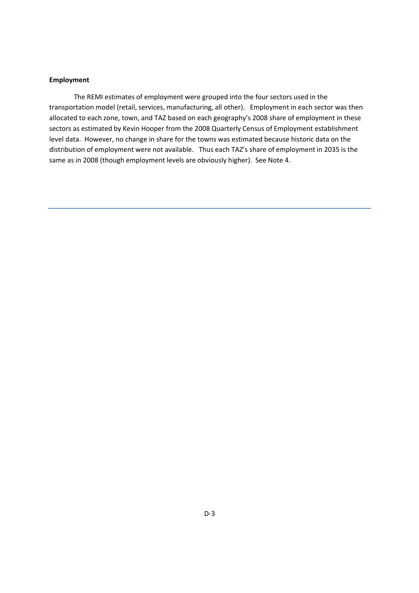## **Employment**

The REMI estimates of employment were grouped into the four sectors used in the transportation model (retail, services, manufacturing, all other). Employment in each sector was then allocated to each zone, town, and TAZ based on each geography's 2008 share of employment in these sectors as estimated by Kevin Hooper from the 2008 Quarterly Census of Employment establishment level data. However, no change in share for the towns was estimated because historic data on the distribution of employment were not available. Thus each TAZ's share of employment in 2035 is the same as in 2008 (though employment levels are obviously higher). See Note 4.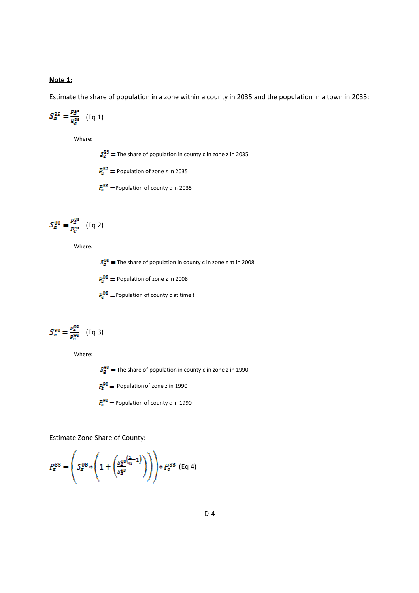## **Note 1:**

Estimate the share of population in a zone within a county in 2035 and the population in a town in 2035:

$$
S_E^{35} = \frac{P_Z^{35}}{P_e^{35}} \quad (\text{Eq 1})
$$

Where:

 $S_{\overline{g}}^{35}$  = The share of population in county c in zone z in 2035

 $P_{\rm g}^{35}$  = Population of zone z in 2035

 $P_c^{35}$  = Population of county c in 2035

$$
S_{\scriptscriptstyle{E}}^{08}=\frac{P_{\scriptscriptstyle{E}}^{08}}{P_{\scriptscriptstyle{E}}^{08}}\quad\text{(Eq 2)}
$$

Where:

 $S_{\overline{z}}^{\text{DB}}$  = The share of population in county c in zone z at in 2008

 $P_{\rm g}^{\rm DB}$  = Population of zone z in 2008

 $P_0^{\text{OB}}$  = Population of county c at time t

$$
S_Z^{90} = \frac{P_Z^{90}}{P_Z^{90}} \quad (\text{Eq 3})
$$

Where:

 $S_{\overline{g}}^{\overline{g}0}$  = The share of population in county c in zone z in 1990

 $P_{\rm g}^{\overline{90}}$  = Population of zone z in 1990

 $P_c^{90}$  = Population of county c in 1990

Estimate Zone Share of County:

$$
P_g^{3S} = \left( S_g^{0S} * \left( 1 + \left( \frac{S_g^{0S} \left( \frac{\hat{\alpha}}{n} - 1 \right)}{S_g^{0O}} \right) \right) \right) * P_g^{3S} \text{ (Eq 4)}
$$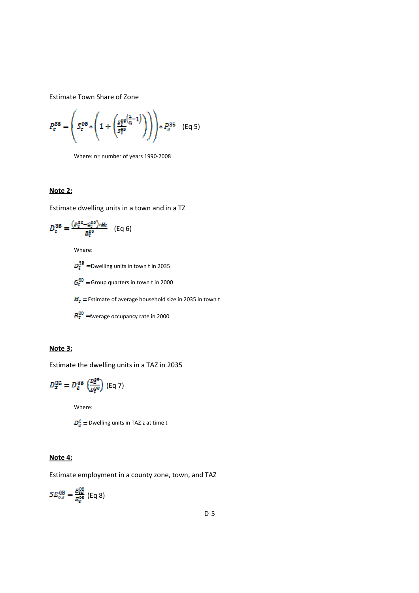Estimate Town Share of Zone

$$
P_{\rm c}^{\rm 35} = \left( S_{\rm c}^{\rm 08} * \left( 1 + \left( \frac{S_{\rm c}^{\rm pe} \left( \frac{\hat{a}}{n_{\rm r}} - 1 \right)}{S_{\rm c}^{\rm pe}} \right) \right) \right) * P_{\rm g}^{\rm 35} \quad \text{(Eq 5)}
$$

Where: n= number of years 1990-2008

## **Note 2:**

Estimate dwelling units in a town and in a TZ

$$
D_{c}^{35} = \frac{(P_{c}^{34} - G_{c}^{99})_{*H_{c}}}{R_{c}^{99}} \quad (\text{Eq 6})
$$

Where:

 $D_{\rm E}^{35}$  =Dwelling units in town t in 2035

 $G_{\text{E}}^{\text{QQ}}$  = Group quarters in town t in 2000

 $H<sub>E</sub>$  = Estimate of average household size in 2035 in town t

 $R_{\rm E}^{00}$  = Average occupancy rate in 2000

# **Note 3:**

Estimate the dwelling units in a TAZ in 2035

$$
D_{\varepsilon}^{\text{35}} = D_{\varepsilon}^{\text{35}} \left( \frac{D_{\varepsilon}^{\text{99}}}{D_{\varepsilon}^{\text{99}}} \right) \text{ (Eq 7)}
$$

Where:

 $D_{z}^{\bar{z}}$  = Dwelling units in TAZ z at time t

## **Note 4:**

Estimate employment in a county zone, town, and TAZ

 $SE_{\sigma z}^{08}=\frac{E_{\sigma z}^{08}}{E_{\sigma}^{08}}$  (Eq 8)